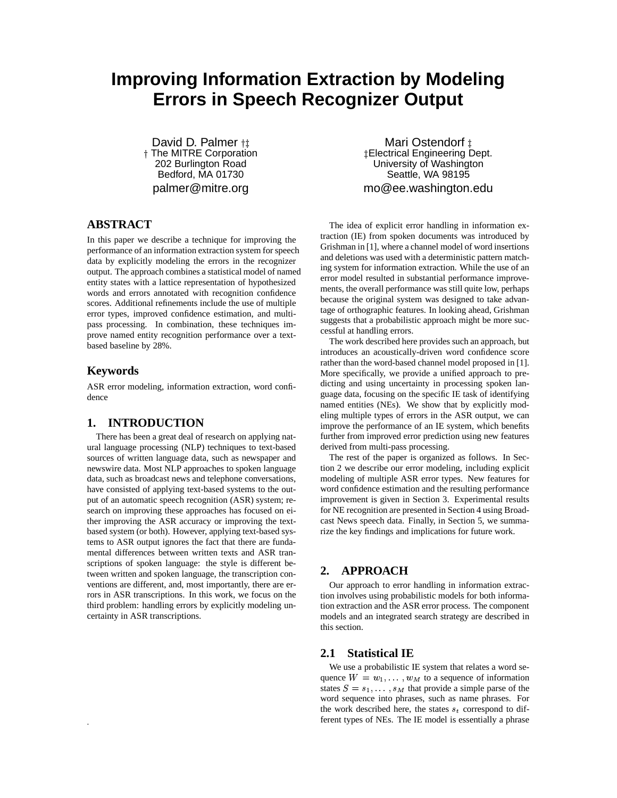# **Improving Information Extraction by Modeling Errors in Speech Recognizer Output**

David D. Palmer <sub>†‡</sub> The MITRE Corporation 202 Burlington Road Bedford, MA 01730 palmer@mitre.org

## **ABSTRACT**

In this paper we describe a technique for improving the performance of an information extraction system for speech data by explicitly modeling the errors in the recognizer output. The approach combines a statistical model of named entity states with a lattice representation of hypothesized words and errors annotated with recognition confidence scores. Additional refinements include the use of multiple error types, improved confidence estimation, and multipass processing. In combination, these techniques improve named entity recognition performance over a textbased baseline by 28%.

## **Keywords**

.

ASR error modeling, information extraction, word confidence

## **1. INTRODUCTION**

There has been a great deal of research on applying natural language processing (NLP) techniques to text-based sources of written language data, such as newspaper and newswire data. Most NLP approaches to spoken language data, such as broadcast news and telephone conversations, have consisted of applying text-based systems to the output of an automatic speech recognition (ASR) system; research on improving these approaches has focused on either improving the ASR accuracy or improving the textbased system (or both). However, applying text-based systems to ASR output ignores the fact that there are fundamental differences between written texts and ASR transcriptions of spoken language: the style is different between written and spoken language, the transcription conventions are different, and, most importantly, there are errors in ASR transcriptions. In this work, we focus on the third problem: handling errors by explicitly modeling uncertainty in ASR transcriptions.

Mari Ostendorf ± Electrical Engineering Dept. University of Washington Seattle, WA 98195 mo@ee.washington.edu

The idea of explicit error handling in information extraction (IE) from spoken documents was introduced by Grishman in [1], where a channel model of word insertions and deletions was used with a deterministic pattern matching system for information extraction. While the use of an error model resulted in substantial performance improvements, the overall performance was still quite low, perhaps because the original system was designed to take advantage of orthographic features. In looking ahead, Grishman suggests that a probabilistic approach might be more successful at handling errors.

The work described here provides such an approach, but introduces an acoustically-driven word confidence score rather than the word-based channel model proposed in [1]. More specifically, we provide a unified approach to predicting and using uncertainty in processing spoken language data, focusing on the specific IE task of identifying named entities (NEs). We show that by explicitly modeling multiple types of errors in the ASR output, we can improve the performance of an IE system, which benefits further from improved error prediction using new features derived from multi-pass processing.

The rest of the paper is organized as follows. In Section 2 we describe our error modeling, including explicit modeling of multiple ASR error types. New features for word confidence estimation and the resulting performance improvement is given in Section 3. Experimental results for NE recognition are presented in Section 4 using Broadcast News speech data. Finally, in Section 5, we summarize the key findings and implications for future work.

#### **2. APPROACH**

Our approach to error handling in information extraction involves using probabilistic models for both information extraction and the ASR error process. The component models and an integrated search strategy are described in this section.

#### **2.1 Statistical IE**

We use a probabilistic IE system that relates a word sequence  $W = w_1, \dots, w_M$  to a sequence of information states  $S = s_1, \ldots, s_M$  that provide a simple parse of the word sequence into phrases, such as name phrases. For the work described here, the states  $s_t$  correspond to different types of NEs. The IE model is essentially a phrase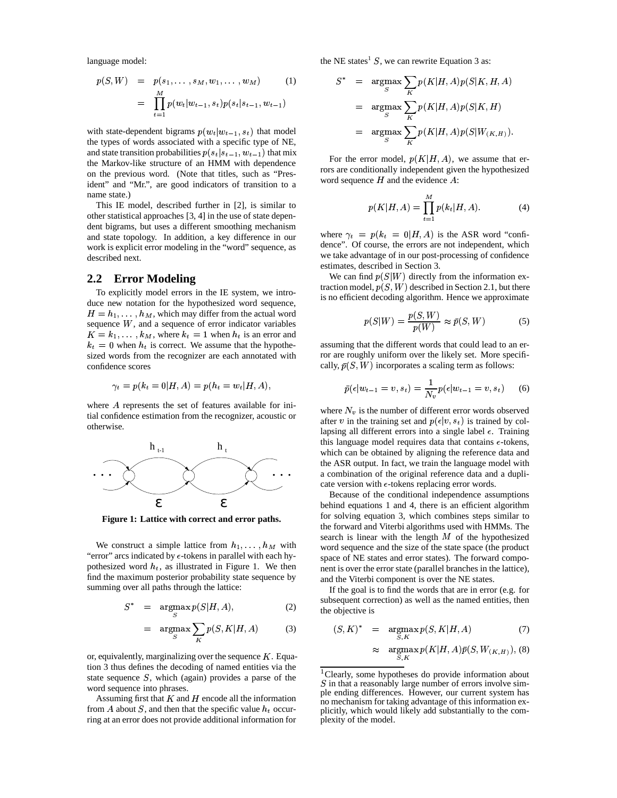language model:

$$
p(S, W) = p(s_1, \ldots, s_M, w_1, \ldots, w_M)
$$
(1)  

$$
= \prod_{t=1}^{M} p(w_t|w_{t-1}, s_t) p(s_t|s_{t-1}, w_{t-1})
$$

with state-dependent bigrams  $p(w_t|w_{t-1}, s_t)$  that model the types of words associated with a specific type of NE, and state transition probabilities  $p(s_t|s_{t-1}, w_{t-1})$  that mix the Markov-like structure of an HMM with dependence on the previous word. (Note that titles, such as "President" and "Mr.", are good indicators of transition to a name state.)

This IE model, described further in [2], is similar to other statistical approaches [3, 4] in the use of state dependent bigrams, but uses a different smoothing mechanism and state topology. In addition, a key difference in our work is explicit error modeling in the "word" sequence, as described next.

#### **2.2 Error Modeling**

To explicitly model errors in the IE system, we introduce new notation for the hypothesized word sequence,  $H = h_1, \dots, h_M$ , which may differ from the actual word sequence  $W$ , and a sequence of error indicator variables  $K = k_1, \ldots, k_M$ , where  $k_t = 1$  when  $h_t$  is an error and  $k_t = 0$  when  $h_t$  is correct. We assume that the hypothesized words from the recognizer are each annotated with confidence scores

$$
\gamma_t=p(k_t=0|H,A)=p(h_t=w_t|H,A),
$$

where  $A$  represents the set of features available for initial confidence estimation from the recognizer, acoustic or otherwise.



**Figure 1: Lattice with correct and error paths.**

We construct a simple lattice from  $h_1, \ldots, h_M$  with word "error" arcs indicated by  $\epsilon$ -tokens in parallel with each hypothesized word  $h_t$ , as illustrated in Figure 1. We then find the maximum posterior probability state sequence by summing over all paths through the lattice:

$$
S^* = \argmax_{G} p(S|H, A), \qquad (2)
$$

$$
= \argmax_{S} \sum_{K} p(S, K | H, A) \tag{3}
$$

or, equivalently, marginalizing over the sequence  $K$ . Equation 3 thus defines the decoding of named entities via the state sequence  $S$ , which (again) provides a parse of the word sequence into phrases.

Assuming first that  $K$  and  $H$  encode all the information from A about S, and then that the specific value  $h_t$  occurring at an error does not provide additional information for the NE states<sup>1</sup> S, we can rewrite Equation 3 as:

$$
S^* = \underset{S}{\operatorname{argmax}} \sum_{K} p(K|H, A)p(S|K, H, A)
$$
  
= 
$$
\underset{S}{\operatorname{argmax}} \sum_{K} p(K|H, A)p(S|K, H)
$$
  
= 
$$
\underset{S}{\operatorname{argmax}} \sum_{K} p(K|H, A)p(S|W_{(K, H)}).
$$

For the error model,  $p(K|H, A)$ , we assume that errors are conditionally independent given the hypothesized word sequence  $H$  and the evidence  $A$ :

$$
p(K|H, A) = \prod_{t=1}^{M} p(k_t|H, A).
$$
 (4)

where  $\gamma_t = p(k_t = 0 | H, A)$  is the ASR word "confidence". Of course, the errors are not independent, which we take advantage of in our post-processing of confidence estimates, described in Section 3.

We can find  $p(S|W)$  directly from the information extraction model,  $p(S, W)$  described in Section 2.1, but there is no efficient decoding algorithm. Hence we approximate

$$
p(S|W) = \frac{p(S, W)}{p(W)} \approx \bar{p}(S, W)
$$
 (5)

assuming that the different words that could lead to an error are roughly uniform over the likely set. More specifically,  $\bar{p}(S, W)$  incorporates a scaling term as follows:

$$
\bar{p}(\epsilon | w_{t-1} = v, s_t) = \frac{1}{N_v} p(\epsilon | w_{t-1} = v, s_t)
$$
 (6)

where  $N_v$  is the number of different error words observed after v in the training set and  $p(\epsilon | v, s_t)$  is trained by collapsing all different errors into a single label  $\epsilon$ . Training this language model requires data that contains  $\epsilon$ -tokens, which can be obtained by aligning the reference data and the ASR output. In fact, we train the language model with a combination of the original reference data and a duplicate version with  $\epsilon$ -tokens replacing error words.

Because of the conditional independence assumptions behind equations 1 and 4, there is an efficient algorithm for solving equation 3, which combines steps similar to the forward and Viterbi algorithms used with HMMs. The search is linear with the length  $M$  of the hypothesized word sequence and the size of the state space (the product space of NE states and error states). The forward component is over the error state (parallel branches in the lattice), and the Viterbi component is over the NE states.

If the goal is to find the words that are in error (e.g. for subsequent correction) as well as the named entities, then the objective is

$$
(S, K)^* = \underset{S, K}{\text{argmax}} p(S, K | H, A) \tag{7}
$$

$$
\approx \underset{S,K}{\text{argmax}} p(K|H,A)\bar{p}(S,W_{(K,H)}), \text{ (8)}
$$

<sup>&</sup>lt;sup>1</sup>Clearly, some hypotheses do provide information about  $S$  in that a reasonably large number of errors involve simple ending differences. However, our current system has no mechanism for taking advantage of this information explicitly, which would likely add substantially to the complexity of the model.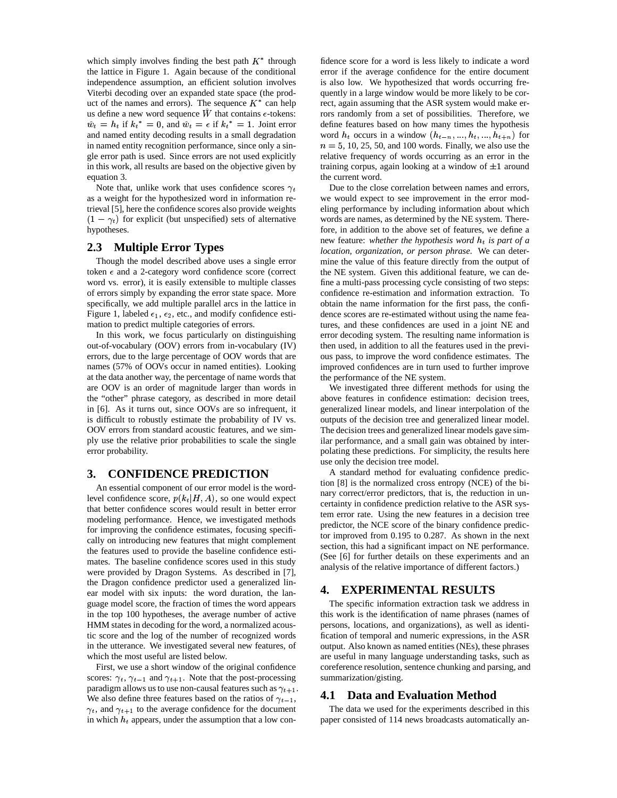which simply involves finding the best path  $K^*$  through fide the lattice in Figure 1. Again because of the conditional independence assumption, an efficient solution involves Viterbi decoding over an expanded state space (the product of the names and errors). The sequence  $K^*$  can help red us define a new word sequence W that contains  $\epsilon$ -tokens:  $\hat{w}_t = h_t$  if  $k_t^* = 0$ , and  $\hat{w}_t = \epsilon$  if  $k_t^* = 1$ . Joint error and named entity decoding results in a small degradation in named entity recognition performance, since only a single error path is used. Since errors are not used explicitly in this work, all results are based on the objective given by equation 3.

Note that, unlike work that uses confidence scores  $\gamma_t$  Du as a weight for the hypothesized word in information retrieval [5], here the confidence scores also provide weights  $(1 - \gamma_t)$  for explicit (but unspecified) sets of alternative hypotheses.

### **2.3 Multiple Error Types**

Though the model described above uses a single error token  $\epsilon$  and a 2-category word confidence score (correct word vs. error), it is easily extensible to multiple classes of errors simply by expanding the error state space. More specifically, we add multiple parallel arcs in the lattice in Figure 1, labeled  $\epsilon_1$ ,  $\epsilon_2$ , etc., and modify confidence estimation to predict multiple categories of errors.

In this work, we focus particularly on distinguishing out-of-vocabulary (OOV) errors from in-vocabulary (IV) errors, due to the large percentage of OOV words that are names (57% of OOVs occur in named entities). Looking at the data another way, the percentage of name words that are OOV is an order of magnitude larger than words in the "other" phrase category, as described in more detail in [6]. As it turns out, since OOVs are so infrequent, it is difficult to robustly estimate the probability of IV vs. OOV errors from standard acoustic features, and we simply use the relative prior probabilities to scale the single error probability.

#### **3. CONFIDENCE PREDICTION**

An essential component of our error model is the wordlevel confidence score,  $p(k_t|H, A)$ , so one would expect that better confidence scores would result in better error modeling performance. Hence, we investigated methods for improving the confidence estimates, focusing specifically on introducing new features that might complement the features used to provide the baseline confidence estimates. The baseline confidence scores used in this study were provided by Dragon Systems. As described in [7], the Dragon confidence predictor used a generalized linear model with six inputs: the word duration, the language model score, the fraction of times the word appears in the top 100 hypotheses, the average number of active HMM states in decoding for the word, a normalized acoustic score and the log of the number of recognized words in the utterance. We investigated several new features, of which the most useful are listed below.

First, we use a short window of the original confidence scores:  $\gamma_t$ ,  $\gamma_{t-1}$  and  $\gamma_{t+1}$ . Note that the post-processing paradigm allows us to use non-causal features such as  $\gamma_{t+1}$ . We also define three features based on the ratios of  $\gamma_{t-1}$ ,  $\gamma_t$ , and  $\gamma_{t+1}$  to the average confidence for the document in which  $h_t$  appears, under the assumption that a low con-

fidence score for a word is less likely to indicate a word error if the average confidence for the entire document is also low. We hypothesized that words occurring frequently in a large window would be more likely to be correct, again assuming that the ASR system would make errors randomly from a set of possibilities. Therefore, we define features based on how many times the hypothesis word  $h_t$  occurs in a window  $(h_{t-n},...,h_t,...,h_{t+n})$  for  $n = 5, 10, 25, 50,$  and 100 words. Finally, we also use the relative frequency of words occurring as an error in the training corpus, again looking at a window of  $\pm 1$  around the current word.

Due to the close correlation between names and errors, we would expect to see improvement in the error modeling performance by including information about which words are names, as determined by the NE system. Therefore, in addition to the above set of features, we define a new feature: *whether the hypothesis word*  $h_t$  *is part of a location, organization, or person phrase*. We can determine the value of this feature directly from the output of the NE system. Given this additional feature, we can define a multi-pass processing cycle consisting of two steps: confidence re-estimation and information extraction. To obtain the name information for the first pass, the confidence scores are re-estimated without using the name features, and these confidences are used in a joint NE and error decoding system. The resulting name information is then used, in addition to all the features used in the previous pass, to improve the word confidence estimates. The improved confidences are in turn used to further improve the performance of the NE system.

We investigated three different methods for using the above features in confidence estimation: decision trees, generalized linear models, and linear interpolation of the outputs of the decision tree and generalized linear model. The decision trees and generalized linear models gave similar performance, and a small gain was obtained by interpolating these predictions. For simplicity, the results here use only the decision tree model.

A standard method for evaluating confidence prediction [8] is the normalized cross entropy (NCE) of the binary correct/error predictors, that is, the reduction in uncertainty in confidence prediction relative to the ASR system error rate. Using the new features in a decision tree predictor, the NCE score of the binary confidence predictor improved from 0.195 to 0.287. As shown in the next section, this had a significant impact on NE performance. (See [6] for further details on these experiments and an analysis of the relative importance of different factors.)

## **4. EXPERIMENTAL RESULTS**

The specific information extraction task we address in this work is the identification of name phrases (names of persons, locations, and organizations), as well as identification of temporal and numeric expressions, in the ASR output. Also known as named entities (NEs), these phrases are useful in many language understanding tasks, such as coreference resolution, sentence chunking and parsing, and summarization/gisting.

#### **4.1 Data and Evaluation Method**

The data we used for the experiments described in this paper consisted of 114 news broadcasts automatically an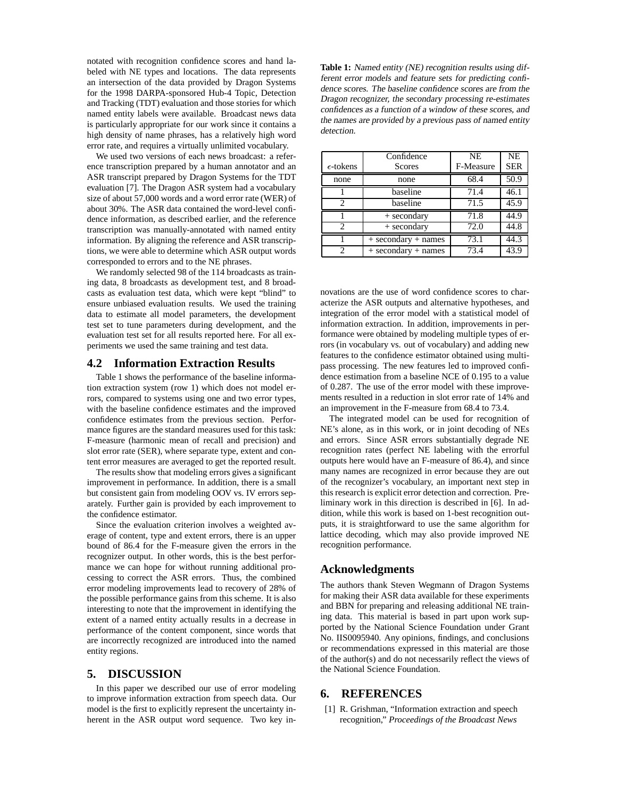notated with recognition confidence scores and hand labeled with NE types and locations. The data represents an intersection of the data provided by Dragon Systems for the 1998 DARPA-sponsored Hub-4 Topic, Detection and Tracking (TDT) evaluation and those stories for which named entity labels were available. Broadcast news data is particularly appropriate for our work since it contains a high density of name phrases, has a relatively high word error rate, and requires a virtually unlimited vocabulary.

We used two versions of each news broadcast: a reference transcription prepared by a human annotator and an ASR transcript prepared by Dragon Systems for the TDT evaluation [7]. The Dragon ASR system had a vocabulary size of about 57,000 words and a word error rate (WER) of about 30%. The ASR data contained the word-level confidence information, as described earlier, and the reference transcription was manually-annotated with named entity information. By aligning the reference and ASR transcriptions, we were able to determine which ASR output words corresponded to errors and to the NE phrases.

We randomly selected 98 of the 114 broadcasts as training data, 8 broadcasts as development test, and 8 broadcasts as evaluation test data, which were kept "blind" to ensure unbiased evaluation results. We used the training data to estimate all model parameters, the development test set to tune parameters during development, and the evaluation test set for all results reported here. For all experiments we used the same training and test data.

#### **4.2 Information Extraction Results**

Table 1 shows the performance of the baseline information extraction system (row 1) which does not model errors, compared to systems using one and two error types, with the baseline confidence estimates and the improved confidence estimates from the previous section. Performance figures are the standard measures used for this task: F-measure (harmonic mean of recall and precision) and slot error rate (SER), where separate type, extent and content error measures are averaged to get the reported result.

The results show that modeling errors gives a significant improvement in performance. In addition, there is a small but consistent gain from modeling OOV vs. IV errors separately. Further gain is provided by each improvement to the confidence estimator.

Since the evaluation criterion involves a weighted average of content, type and extent errors, there is an upper bound of 86.4 for the F-measure given the errors in the recognizer output. In other words, this is the best performance we can hope for without running additional processing to correct the ASR errors. Thus, the combined error modeling improvements lead to recovery of 28% of the possible performance gains from this scheme. It is also interesting to note that the improvement in identifying the extent of a named entity actually results in a decrease in performance of the content component, since words that are incorrectly recognized are introduced into the named entity regions.

#### **5. DISCUSSION**

In this paper we described our use of error modeling to improve information extraction from speech data. Our model is the first to explicitly represent the uncertainty inherent in the ASR output word sequence. Two key in**Table 1:** Named entity (NE) recognition results using different error models and feature sets for predicting confidence scores. The baseline confidence scores are from the Dragon recognizer, the secondary processing re-estimates confidences as <sup>a</sup> function of <sup>a</sup> window of these scores, and the names are provided by <sup>a</sup> previous pass of named entity detection.

| $\epsilon$ -tokens          | Confidence<br>Scores    | NE<br>F-Measure | <b>NE</b><br><b>SER</b> |
|-----------------------------|-------------------------|-----------------|-------------------------|
| none                        | none                    | 68.4            | 50.9                    |
|                             | baseline                | 71.4            | 46.1                    |
| $\mathcal{D}_{\mathcal{L}}$ | baseline                | 71.5            | 45.9                    |
|                             | + secondary             | 71.8            | 44.9                    |
| $\mathcal{D}_{\mathcal{A}}$ | + secondary             | 72.0            | 44.8                    |
|                             | $+$ secondary + names   | 73.1            | 44.3                    |
| 2                           | $+$ secondary $+$ names | 73.4            | 43.9                    |

novations are the use of word confidence scores to characterize the ASR outputs and alternative hypotheses, and integration of the error model with a statistical model of information extraction. In addition, improvements in performance were obtained by modeling multiple types of errors (in vocabulary vs. out of vocabulary) and adding new features to the confidence estimator obtained using multipass processing. The new features led to improved confidence estimation from a baseline NCE of 0.195 to a value of 0.287. The use of the error model with these improvements resulted in a reduction in slot error rate of 14% and an improvement in the F-measure from 68.4 to 73.4.

The integrated model can be used for recognition of NE's alone, as in this work, or in joint decoding of NEs and errors. Since ASR errors substantially degrade NE recognition rates (perfect NE labeling with the errorful outputs here would have an F-measure of 86.4), and since many names are recognized in error because they are out of the recognizer's vocabulary, an important next step in this research is explicit error detection and correction. Preliminary work in this direction is described in [6]. In addition, while this work is based on 1-best recognition outputs, it is straightforward to use the same algorithm for lattice decoding, which may also provide improved NE recognition performance.

#### **Acknowledgments**

The authors thank Steven Wegmann of Dragon Systems for making their ASR data available for these experiments and BBN for preparing and releasing additional NE training data. This material is based in part upon work supported by the National Science Foundation under Grant No. IIS0095940. Any opinions, findings, and conclusions or recommendations expressed in this material are those of the author(s) and do not necessarily reflect the views of the National Science Foundation.

#### **6. REFERENCES**

[1] R. Grishman, "Information extraction and speech recognition," *Proceedings of the Broadcast News*